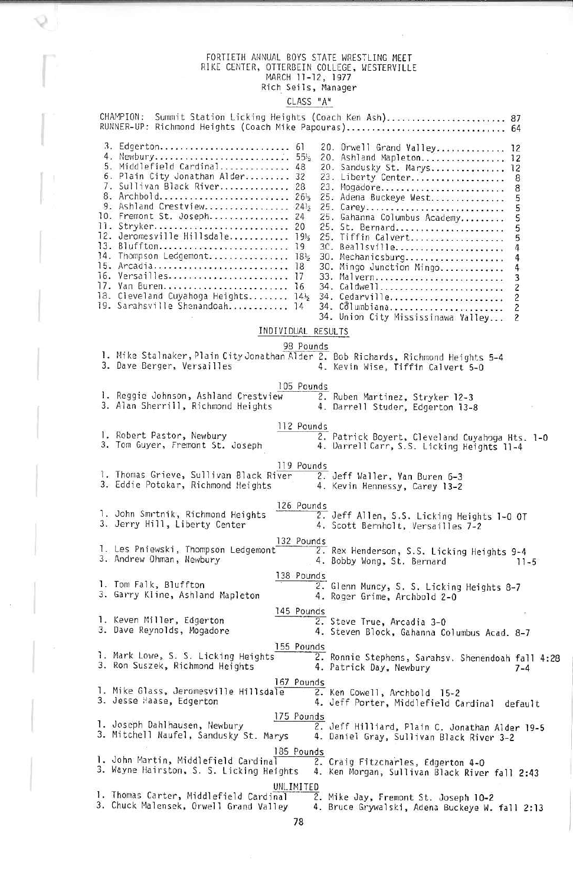### FORITEIN ANNUAL BOYS STATE WRESTLING MEET<br>RIKE CENTER, OTTERBEIN COLLEGE, WESTERVILLI<br>MARCH 11-12, 1977<br>Rich Seils, Manager

 $\bigcirc$ 

#### CLASS "A"

|                                                                                                                                                                                                                                                                                                                                                                                                                              |            | CHAMPION: Summit Station Licking Heights (Coach Ken Ash) 87<br>RUNNER-UP: Richmond Heights (Coach Mike Papouras) 64                                                                                                                                                                                                                                                                                                                                                                            |
|------------------------------------------------------------------------------------------------------------------------------------------------------------------------------------------------------------------------------------------------------------------------------------------------------------------------------------------------------------------------------------------------------------------------------|------------|------------------------------------------------------------------------------------------------------------------------------------------------------------------------------------------------------------------------------------------------------------------------------------------------------------------------------------------------------------------------------------------------------------------------------------------------------------------------------------------------|
| 3. Edgerton 61<br>4. Newbury 5512<br>5. Middlefield Cardinal 48<br>6. Plain City Jonathan Alder 32<br>7. Sullivan Black River 28<br>8. Archbold 26 <sup>1</sup> 2<br>9. Ashland Crestview 24 <sup>1</sup> 2<br>10. Fremont St. Joseph 24<br>11. Stryker 20<br>14. Thompson Ledgemont 1832<br>15. Arcadia 18<br>16. Versailles 17<br>17. Van Buren 16<br>18. Cleveland Cuyahoga Heights 1412<br>19. Sarahsville Shenandoah 14 |            | 20. Orwell Grand Valley 12<br>20. Ashland Mapleton 12<br>20. Sandusky St. Marys 12<br>23. Liberty Center<br>8<br>23. Mogadore<br>8<br>25. Adena Buckeye West<br>5<br>25. Carey<br>5<br>25. Gahanna Columbus Academy<br>5<br>25. St. Bernard<br>25. Tiffin Calvert<br>5<br>5<br>3C. Beallsville<br>30. Mechanicsburg<br>30. Mingo Junction Mingo<br>33. Malvern<br>3<br>34. Caldwell<br>2<br>34. Cedarville<br>2<br>34. Columbiana<br>$\overline{c}$<br>34. Union City Mississinawa Valley<br>2 |
| INDIVIDUAL RESULTS                                                                                                                                                                                                                                                                                                                                                                                                           |            |                                                                                                                                                                                                                                                                                                                                                                                                                                                                                                |
|                                                                                                                                                                                                                                                                                                                                                                                                                              | 98 Pounds  |                                                                                                                                                                                                                                                                                                                                                                                                                                                                                                |
| 1. Mike Stalnaker, Plain City Jonathan Alder 2. Bob Richards, Richmond Heights 5-4<br>3. Dave Berger, Versailles                                                                                                                                                                                                                                                                                                             |            | 4. Kevin Wise, Tiffin Calvert 5-0                                                                                                                                                                                                                                                                                                                                                                                                                                                              |
|                                                                                                                                                                                                                                                                                                                                                                                                                              | 105 Pounds |                                                                                                                                                                                                                                                                                                                                                                                                                                                                                                |
| 1. Reggie Johnson, Ashland Crestview<br>3. Alan Sherrill, Richmond Heights                                                                                                                                                                                                                                                                                                                                                   |            | 2. Ruben Martinez, Stryker 12-3<br>4. Darrell Studer, Edgerton 13-8                                                                                                                                                                                                                                                                                                                                                                                                                            |
|                                                                                                                                                                                                                                                                                                                                                                                                                              | 112 Pounds |                                                                                                                                                                                                                                                                                                                                                                                                                                                                                                |
| 1. Robert Pastor, Newbury<br>3. Tom Guyer, Fremont St. Joseph                                                                                                                                                                                                                                                                                                                                                                |            | 2. Patrick Boyert, Cleveland Cuyahoga Hts. 1-0<br>4. Darrell Carr, S.S. Licking Heights 11-4                                                                                                                                                                                                                                                                                                                                                                                                   |
| 1. Thomas Grieve, Sullivan Black River<br>3. Eddie Potokar, Richmond Heights                                                                                                                                                                                                                                                                                                                                                 | 119 Pounds | 2. Jeff Waller, Van Buren 6-3<br>4. Kevin Hennessy, Carey 13-2                                                                                                                                                                                                                                                                                                                                                                                                                                 |
| 1. John Smrtnik, Richmond Heights<br>3. Jerry Hill, Liberty Center                                                                                                                                                                                                                                                                                                                                                           | 126 Pounds | 2. Jeff Allen, S.S. Licking Heights 1-0 OT<br>4. Scott Bernholt, Versailles 7-2                                                                                                                                                                                                                                                                                                                                                                                                                |
| l. Les Pniewski, Thompson Ledgemont<br>3. Andrew Ohman, Newbury                                                                                                                                                                                                                                                                                                                                                              | 132 Pounds | 2. Rex Henderson, S.S. Licking Heights 9-4<br>4. Bobby Wong, St. Bernard<br>$11 - 5$                                                                                                                                                                                                                                                                                                                                                                                                           |
| 1. Tom Falk, Bluffton<br>3. Garry Kline, Ashland Mapleton                                                                                                                                                                                                                                                                                                                                                                    | 138 Pounds | 2. Glenn Muncy, S. S. Licking Heights 8-7<br>4. Roger Grime, Archbold 2-0                                                                                                                                                                                                                                                                                                                                                                                                                      |
| 1. Keven Miller, Edgerton<br>3. Dave Reynolds, Mogadore                                                                                                                                                                                                                                                                                                                                                                      | 145 Pounds | 2. Steve True, Arcadia 3-0<br>4. Steven Block, Gahanna Columbus Acad. 8-7                                                                                                                                                                                                                                                                                                                                                                                                                      |
| 155 Pounds<br>1. Mark Lowe, S. S. Licking Heights<br>3. Ron Suszek, Richmond Heights                                                                                                                                                                                                                                                                                                                                         |            | 2. Ronnie Stephens, Sarahsv. Shenendoah fall 4:28<br>4. Patrick Day, Newbury<br>$7 - 4$                                                                                                                                                                                                                                                                                                                                                                                                        |
| 167 Pounds<br>1. Mike Glass, Jeromesville Hillsdale<br>3. Jesse Haase, Edgerton                                                                                                                                                                                                                                                                                                                                              |            | 2. Ken Cowell, Archbold 15-2<br>4. Jeff Porter, Middlefield Cardinal<br>default                                                                                                                                                                                                                                                                                                                                                                                                                |
| 175 Pounds<br>I. Joseph Dahlhausen, Newbury<br>3. Mitchell Naufel, Sandusky St. Marys                                                                                                                                                                                                                                                                                                                                        |            | 2. Jeff Hilliard, Plain C. Jonathan Alder 19-5<br>4. Daniel Gray, Sullivan Black River 3-2                                                                                                                                                                                                                                                                                                                                                                                                     |
| 185 Pounds<br>1. John Martin, Middlefield Cardinal<br>3. Wayne Hairston, S. S. Licking Heights                                                                                                                                                                                                                                                                                                                               |            | 2. Craig Fitzcharles, Edgerton 4-0<br>4. Ken Morgan, Sullivan Black River fall 2:43                                                                                                                                                                                                                                                                                                                                                                                                            |
| UNLIMITED<br>1. Thomas Carter, Middlefield Cardinal<br>3. Chuck Malensek, Orwell Grand Valley                                                                                                                                                                                                                                                                                                                                |            | 2. Mike Jay, Fremont St. Joseph 10-2<br>4. Bruce Grywalski, Adena Buckeye W. fall 2:13                                                                                                                                                                                                                                                                                                                                                                                                         |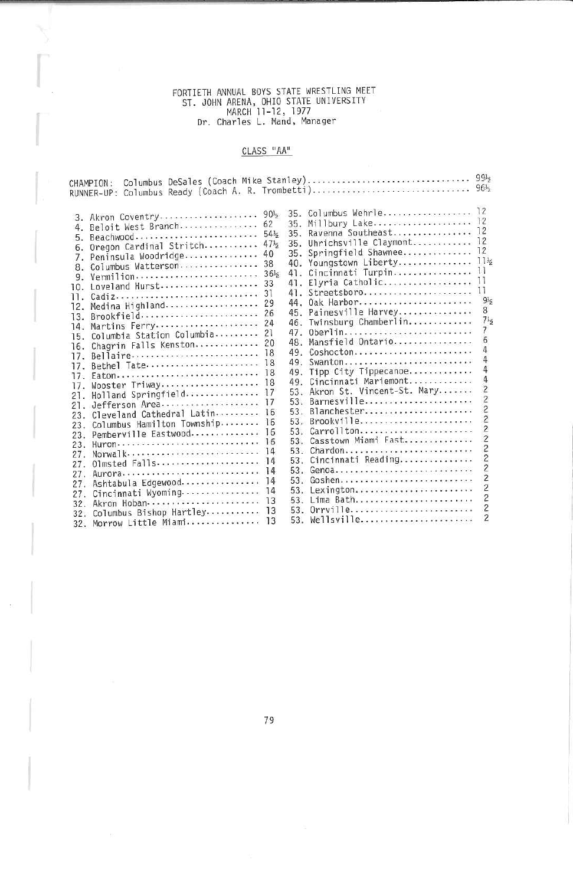## FORTIETH ANNUAL BOYS STATE WRESTLING MEETST. JOHN ARENA, OHIO STATE UNIVERSITY MARCH 11-12, 1977 Dr. Charles L. Hand, Manager

### CLASS "AA"

| CHAMPION:<br>RUNNER-UP:                                                                                                                                                                                                                                                                                                                                                                                                                                                                                                                                                                                                            |                                                                                                                                                                                                  |                                                                                                                                                        | Columbus DeSales (Coach Mike Stanley)<br>Columbus Ready (Coach A. R. Trombetti)                                                                                                                                                                                                                                                                                                                                                                                                                    | 99 <sub>5</sub><br>$96\frac{1}{2}$                                                                                                                                                                                                                                         |
|------------------------------------------------------------------------------------------------------------------------------------------------------------------------------------------------------------------------------------------------------------------------------------------------------------------------------------------------------------------------------------------------------------------------------------------------------------------------------------------------------------------------------------------------------------------------------------------------------------------------------------|--------------------------------------------------------------------------------------------------------------------------------------------------------------------------------------------------|--------------------------------------------------------------------------------------------------------------------------------------------------------|----------------------------------------------------------------------------------------------------------------------------------------------------------------------------------------------------------------------------------------------------------------------------------------------------------------------------------------------------------------------------------------------------------------------------------------------------------------------------------------------------|----------------------------------------------------------------------------------------------------------------------------------------------------------------------------------------------------------------------------------------------------------------------------|
| 3. Akron Coventry<br>Beloit West Branch<br>4.<br>Beachwood<br>5.<br>Oregon Cardinal Stritch<br>6.<br>Peninsula Woodridge<br>7.<br>Columbus Watterson<br>8.<br>Vermilion<br>9.<br>Loveland Hurst<br>10.<br>Cadiz<br>11.<br>Medina Highland<br>12.<br>Brookfield<br>13.<br>Martins Ferry<br>14.<br>Columbia Station Columbia<br>15.<br>Chagrin Falls Kenston<br>16.<br>Bellaire<br>17.<br>Bethel Tate<br>17.<br>Eaton<br>17.<br>Wooster Triway<br>17.<br>Holland Springfield<br>21.<br>Jefferson Area<br>21.<br>Cleveland Cathedral Latin<br>23.<br>Columbus Hamilton Township<br>23.<br>Pemberville Eastwood<br>23.<br>Huron<br>23. | $90\frac{1}{2}$<br>62<br>$54\frac{1}{2}$<br>47 <sub>5</sub><br>40<br>38<br>36 <sub>5</sub><br>33<br>31<br>29<br>26<br>24<br>21<br>20<br>18<br>18<br>18<br>18<br>17<br>17<br>16<br>16<br>16<br>16 | 35.<br>35.<br>35.<br>40.<br>41.<br>41.<br>41.<br>44.<br>45.<br>46.<br>47.<br>48.<br>49.<br>49.<br>49.<br>49.<br>53.<br>53.<br>53.<br>53.<br>53.<br>53. | 35. Columbus Wehrle 12<br>35. Millbury Lake 12<br>Ravenna Southeast<br>Uhrichsville Claymont<br>Springfield Shawnee<br>Youngstown Liberty<br>Cincinnati Turpin<br>Elyria Catholic<br>Streetsboro<br>Oak Harbor<br>Painesville Harvey<br>Twinsburg Chamberlin<br>0berlin<br>Mansfield Ontario<br>Coshocton<br>Swanton<br>Tipp City Tippecanoe<br>Cincinnati Mariemont<br>53. Akron St. Vincent-St. Mary<br>Barnesville<br>Blanchester<br>Brookville<br>Carrollton<br>Casstown Miami East<br>Chardon | 12<br>12<br>12<br>11 <sub>5</sub><br>11<br>11<br>11<br>9 <sub>5</sub><br>8<br>$7\frac{1}{2}$<br>7<br>6<br>4<br>4<br>4<br>4<br>$\overline{c}$<br>$\overline{c}$<br>$\overline{\mathbf{c}}$<br>$\overline{\mathbf{c}}$<br>$\overline{c}$<br>$\overline{c}$<br>$\overline{c}$ |
| Norwalk<br>27.                                                                                                                                                                                                                                                                                                                                                                                                                                                                                                                                                                                                                     | 14<br>14                                                                                                                                                                                         | 53.                                                                                                                                                    | Cincinnati Reading                                                                                                                                                                                                                                                                                                                                                                                                                                                                                 | $\overline{c}$                                                                                                                                                                                                                                                             |
| Olmsted Falls<br>27.                                                                                                                                                                                                                                                                                                                                                                                                                                                                                                                                                                                                               | 14                                                                                                                                                                                               | 53.                                                                                                                                                    | Genoa                                                                                                                                                                                                                                                                                                                                                                                                                                                                                              | $\overline{c}$                                                                                                                                                                                                                                                             |
| Aurora<br>27.                                                                                                                                                                                                                                                                                                                                                                                                                                                                                                                                                                                                                      | 14                                                                                                                                                                                               | 53.                                                                                                                                                    | Goshen                                                                                                                                                                                                                                                                                                                                                                                                                                                                                             | $\overline{c}$                                                                                                                                                                                                                                                             |
| Ashtabula Edgewood<br>27.                                                                                                                                                                                                                                                                                                                                                                                                                                                                                                                                                                                                          | 14                                                                                                                                                                                               | 53.                                                                                                                                                    | Lexington                                                                                                                                                                                                                                                                                                                                                                                                                                                                                          | $\overline{2}$                                                                                                                                                                                                                                                             |
| Cincinnati Wyoming<br>27.                                                                                                                                                                                                                                                                                                                                                                                                                                                                                                                                                                                                          | 13                                                                                                                                                                                               | 53.                                                                                                                                                    | Lima Bath                                                                                                                                                                                                                                                                                                                                                                                                                                                                                          | $\overline{c}$                                                                                                                                                                                                                                                             |
| Akron Hoban<br>32.                                                                                                                                                                                                                                                                                                                                                                                                                                                                                                                                                                                                                 | 13                                                                                                                                                                                               | 53.                                                                                                                                                    | 0rrville                                                                                                                                                                                                                                                                                                                                                                                                                                                                                           | $\overline{c}$                                                                                                                                                                                                                                                             |
| Columbus Bishop Hartley<br>32.                                                                                                                                                                                                                                                                                                                                                                                                                                                                                                                                                                                                     | 13                                                                                                                                                                                               | 53.                                                                                                                                                    |                                                                                                                                                                                                                                                                                                                                                                                                                                                                                                    | $\overline{c}$                                                                                                                                                                                                                                                             |
| Morrow Little Miami<br>32.                                                                                                                                                                                                                                                                                                                                                                                                                                                                                                                                                                                                         |                                                                                                                                                                                                  |                                                                                                                                                        |                                                                                                                                                                                                                                                                                                                                                                                                                                                                                                    |                                                                                                                                                                                                                                                                            |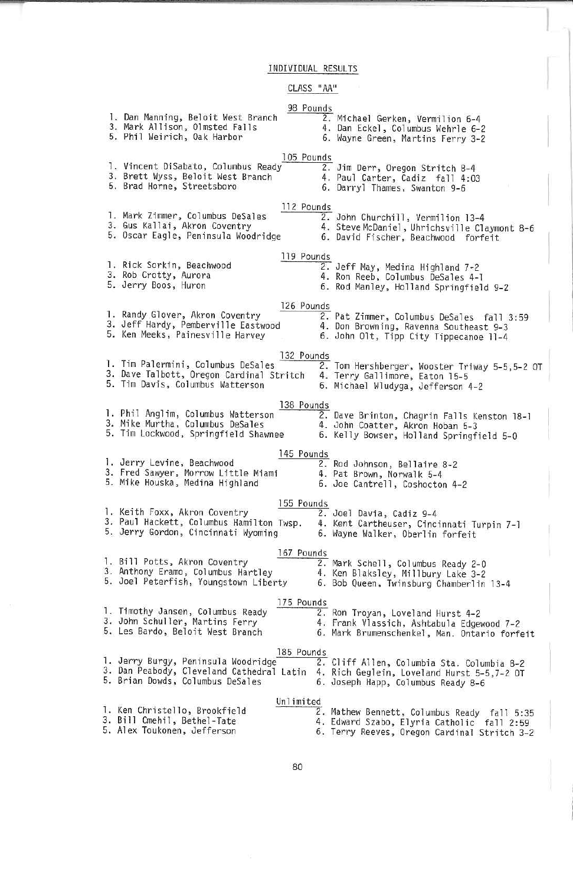INDIVIDUAL RESULTS

#### CLASS "AA"

1. Dan Manning, Beloit West Branch 3. Hark AHison, Olmsted Falls 5. Phil Ueirich, Odk Harbor<u>rounds</u><br>2. Michael Gerken, Vermilion 6-4 4. Dan Ecke1, Columbus Uehrle 6-2 6. Uayne Green, Martins Ferry 3-2105 Pounds 2. Jim Derr, Oregon Stritch 8-4 4, Paul Carter, Cadiz fall 4:03 1. Vincent DiSabato, Columbus Ready 3. Brett Wyss, Betoit hlest Branch5, Brad Home, Streetsboro6. Ddrryl Thames, Swanton 9-61. Mark Zimmer, Columbus Desales<br>3. Gus Kallai, Akron Coventry 5. Oscar Eagle, Peninsula Woodrid 1. Rick Sorkin, Beachwood 3. ROD Crotty, Aurora<br>5. Jorny Boos, Humon 5. Jerry Boos, Huron 6. Rod Hanley, Holland Springfield 9-2 112 Pounds2. John Churchill, Vermilion 13-4  $\overline{6}$ . Steve McDaniel, Uhrichsville Claymont<br>David Fischer, Beachwood forfeit 119 Pounds 2. Jeff May, Medina Highland 7-2 4. Ron Reeb, Columbus GeSales 4-1 r. Kandy Glover, Akron Coventry<br>3. Jeff Hardy, Pemberville Eastwood<br>5. Ken Meeks, Painesville Harvey 126 Pounds 2, Pat Zimmer, Columbus DeSales fall 3:59 4. Dan Browning, Ravenna Southeast 9-3 6. John Olt, Tipp City Tippecanoe 11-4 132 Pounds 1. Tim Palermim, ColumbLiS DeSates 3. Dave Talbott, Oregon Cardinal Stritch 5. Tim Davi's, Columbus kldtterson 2. Tom Hershberger, wooster Triway 5-5,5-2 OI<br>4. Terry Gallimore, Eaton 15-5<br>5. Michael Wludyga, Jefferson 4-2 1. Phil Angli'm, Columbus Watterson 3. Mike Murtha, Columbus DeSales 5. Tim Lockwood, Springfield Shawnee138 Pounds. Dave Brinton, Chagrin Falls Kenston 18-1<br>. John Coatter, Akron Hoban 5-3<br>. Kelly Bowser, Holland Springfield 5-0 1. Jerry Levine, Beachwood 3. Fred Sawyer, Morrow Little Miami 5. Mike Houska, Medina Highland145 Pounds 2. Rod Johnson, Beltaire 3-2 4.Pat Brown, Norwalk 5-4. Joe Cantrell, Coshocton 4-2 55 Pounds 1. Keith Foxx, Akron Coventry3. Paul Hackett, Columbus Hamilton Twsp.<br>5. Jerry Gordon, Cincinnati Wyoming 2. Joel Davia, Cadiz 9-4 4. Kent Cartheuser, Cincinnati Turpin 7-1 6. Wayne Walker, Oberlin forfeit 167 Pounds1. BITT POLLS, Akron Coventry<br>3. Anthony Eramo, Columbus Hartley 4.<br>5. Joel Peterfish, Youngstown Liberty 6. 2. Mark Schell, Columbus Ready 2-0 4, Ken B1aks1ey, Mi'Hbury Lake 3-2 6. Bob Queen, Twinsburg Chamberlin 13-4r. Timothy Jansen, Columbus Ready<br>3. John Schuller, Martins Ferry 5. Les Bardo, Beloit West Branch175 Pounds Z. Ron Troyan, Loveland Hurst 4-2 4. Frank Vlassich, Ashtabula Edgewood 7-2 G. Mark Brumenschenkel, Man. Ontario forfeit<u>185 Pounds</u><br>1. Jerry Burgy, Peninsula Woodridge – 2. Cliff Allen, Columbia Sta. Columbia 8-2.<br>3. Dan Peabody, Cleveland Cathedral Latin – 4. Rich Geglein, Loveland Hurst 5-5,7-2 OT 5. Brian Dowds, Columbus DeSales6. Joseph Happ, Columbus Ready 8-61. Ken Christello, Brookfield 3. Bi11 Cmehn, Bethel-Tate. Alex Toukonen, Jefferson Unlimited 2. Mathew Bennett, Columbus Ready fall 5:35 4. Edward Szabo, Elyria Catholic fall 2:59 6. Terry Reeves, Oregon Cardinal Stritch 3-2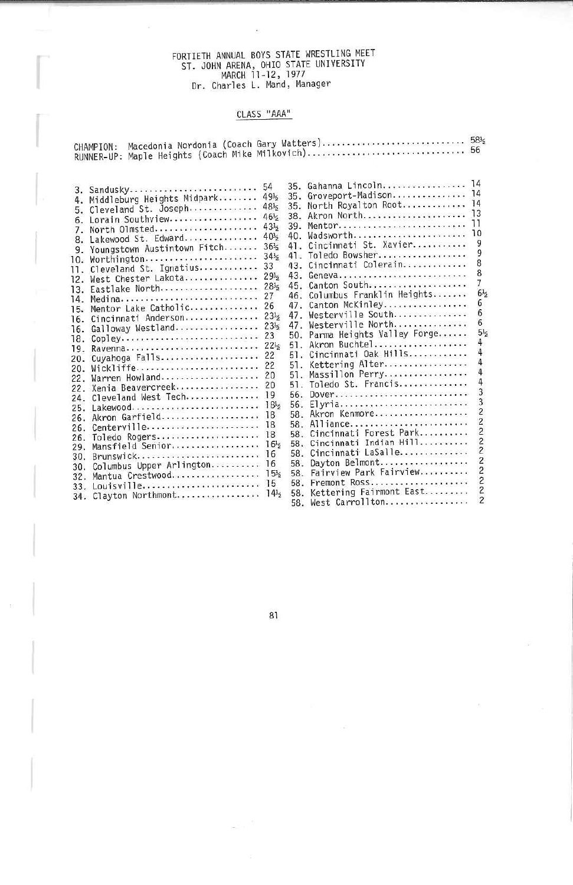# FORTIETH ANNUAL BOYS STATE WRESTLING MEET<br>ST. JOHN ARENA, OHIO STATE UNIVERSITY<br>MARCH 11-12, 1977<br>Dr. Charles L. Mand, Manager

#### CLASS "AAA"

 $\overline{\mathcal{D}}$ 

|  | CHAMPION: Macedonia Nordonia (Coach Gary Watters) 58 <sub>2</sub> |  |
|--|-------------------------------------------------------------------|--|
|  |                                                                   |  |

|     |                               |                 |     | 35. Gahanna Lincoln           | 14                       |
|-----|-------------------------------|-----------------|-----|-------------------------------|--------------------------|
|     | 3. Sandusky                   | 54              |     | Groveport-Madison             | -14                      |
|     | 4. Middleburg Heights Midpark | 49 <sub>5</sub> | 35. | North Royalton Root           | 14                       |
| 5.  | Cleveland St. Joseph          | $48\%$          | 35. |                               | 13                       |
| 6.  | Lorain Southview              | $46\frac{1}{2}$ | 38. | Akron North                   |                          |
| 7.  | North Olmsted                 | $43\frac{1}{2}$ | 39. | Mentor                        | 10                       |
| 8.  | Lakewood St. Edward           | 40 <sub>5</sub> | 40. | Wadsworth                     |                          |
| 9.  | Youngstown Austintown Fitch   | $36\frac{1}{2}$ | 41. | Cincinnati St. Xavier         |                          |
|     | 10. Worthington               | $34\frac{1}{2}$ | 41. | Toledo Bowsher                |                          |
| 11. | Cleveland St. Ignatius        | 33              |     | 43. Cincinnati Colerain       | 8                        |
| 12. | West Chester Lakota           | $29\frac{1}{2}$ | 43. | Geneva                        | 8                        |
| 13. | Eastlake North                | $28\frac{1}{2}$ | 45. | Canton South                  |                          |
| 14. | Medina                        | 27              |     | 46. Columbus Franklin Heights | $6\frac{1}{2}$           |
|     | 15. Mentor Lake Catholic      | 26              | 47. | Canton McKinley               | 6                        |
| 16. | Cincinnati Anderson           | $23\frac{1}{2}$ | 47. | Westerville South             | 6                        |
| 16. | Galloway Westland             | 23 <sub>5</sub> | 47. | Westerville North             | 6                        |
| 18. | Copley                        | 23              | 50. | Parma Heights Valley Forge    | 5 <sub>5</sub>           |
| 19. | Ravenna                       | $22\frac{1}{2}$ | 51. | Akron Buchtel                 |                          |
| 20. | Cuyahoga Falls                | 22              | 51. | Cincinnati Oak Hills          |                          |
| 20. | Wickliffe                     | 22              | 51. | Kettering Alter               |                          |
| 22. | Warren Howland                | 20              | 51. | Massillon Perry               |                          |
| 22. | Xenia Beavercreek             | 20              | 51. | Toledo St. Francis            |                          |
| 24. | Cleveland West Tech           | 19              | 56. | Dover                         |                          |
| 25. |                               | 18 <sup>1</sup> | 56. | Elyria                        |                          |
| 26. | Akron Garfield                | 18              |     | 58. Akron Kenmore             | 2                        |
| 26. | Centerville                   | 18              |     | 58. Alliance                  | 2                        |
| 26. | Toledo Rogers                 | 18              | 58. | Cincinnati Forest Park        | 2                        |
| 29. | Mansfield Senior              | 16 <sup>1</sup> | 58. | Cincinnati Indian Hill        |                          |
| 30. | Brunswick                     | 16              | 58. | Cincinnati LaSalle            | 2                        |
| 30. | Columbus Upper Arlington      | 16              | 58. | Dayton Belmont                | 2                        |
|     | Mantua Crestwood              | 15 <sub>5</sub> | 58. | Fairview Park Fairview        |                          |
| 32. | Louisville                    | 15              | 58. | Fremont Ross                  | 2                        |
| 33. | Clayton Northmont             | 14 <sub>5</sub> |     | 58. Kettering Fairmont East   | 2                        |
| 34. |                               |                 |     | 58. West Carrollton           | $\overline{\phantom{a}}$ |

81